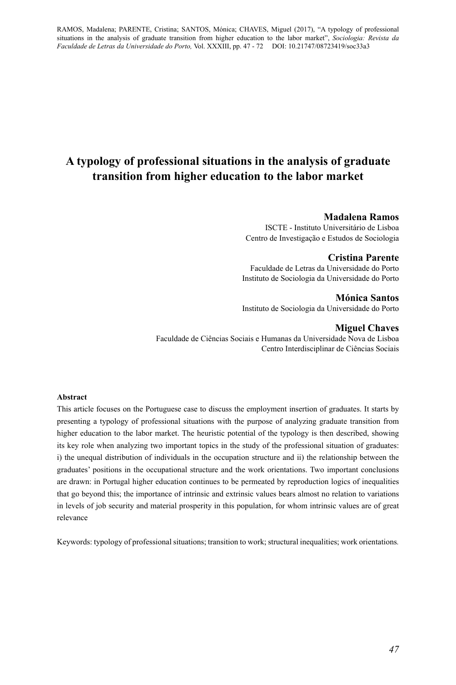# **A typology of professional situations in the analysis of graduate transition from higher education to the labor market**

### **Madalena Ramos**

ISCTE - Instituto Universitário de Lisboa Centro de Investigação e Estudos de Sociologia

### **Cristina Parente**

Faculdade de Letras da Universidade do Porto Instituto de Sociologia da Universidade do Porto

**Mónica Santos** Instituto de Sociologia da Universidade do Porto

### **Miguel Chaves**

Faculdade de Ciências Sociais e Humanas da Universidade Nova de Lisboa Centro Interdisciplinar de Ciências Sociais

### **Abstract**

This article focuses on the Portuguese case to discuss the employment insertion of graduates. It starts by presenting a typology of professional situations with the purpose of analyzing graduate transition from higher education to the labor market. The heuristic potential of the typology is then described, showing its key role when analyzing two important topics in the study of the professional situation of graduates: i) the unequal distribution of individuals in the occupation structure and ii) the relationship between the graduates' positions in the occupational structure and the work orientations. Two important conclusions are drawn: in Portugal higher education continues to be permeated by reproduction logics of inequalities that go beyond this; the importance of intrinsic and extrinsic values bears almost no relation to variations in levels of job security and material prosperity in this population, for whom intrinsic values are of great relevance

Keywords: typology of professional situations; transition to work; structural inequalities; work orientations*.*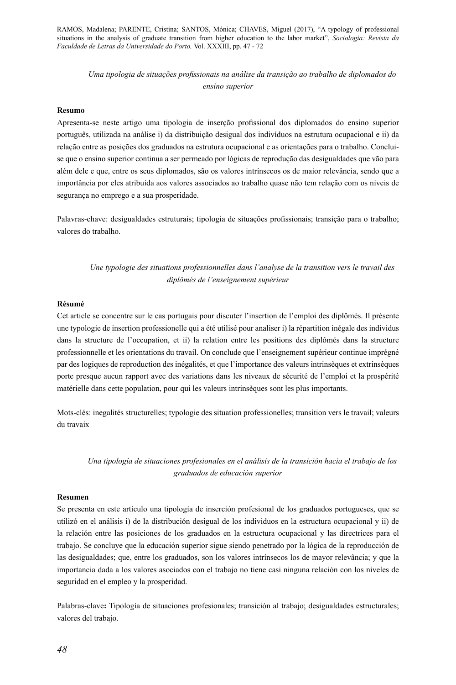*Uma tipologia de situações profissionais na análise da transição ao trabalho de diplomados do ensino superior* 

### **Resumo**

Apresenta-se neste artigo uma tipologia de inserção profissional dos diplomados do ensino superior português, utilizada na análise i) da distribuição desigual dos indivíduos na estrutura ocupacional e ii) da relação entre as posições dos graduados na estrutura ocupacional e as orientações para o trabalho. Concluise que o ensino superior continua a ser permeado por lógicas de reprodução das desigualdades que vão para além dele e que, entre os seus diplomados, são os valores intrínsecos os de maior relevância, sendo que a importância por eles atribuída aos valores associados ao trabalho quase não tem relação com os níveis de segurança no emprego e a sua prosperidade.

Palavras-chave: desigualdades estruturais; tipologia de situações profissionais; transição para o trabalho; valores do trabalho.

*Une typologie des situations professionnelles dans l'analyse de la transition vers le travail des diplômés de l'enseignement supérieur*

#### **Résumé**

Cet article se concentre sur le cas portugais pour discuter l'insertion de l'emploi des diplômés. Il présente une typologie de insertion professionelle qui a été utilisé pour analiser i) la répartition inégale des individus dans la structure de l'occupation, et ii) la relation entre les positions des diplômés dans la structure professionnelle et les orientations du travail. On conclude que l'enseignement supérieur continue imprégné par des logiques de reproduction des inégalités, et que l'importance des valeurs intrinsèques et extrinsèques porte presque aucun rapport avec des variations dans les niveaux de sécurité de l'emploi et la prospérité matérielle dans cette population, pour qui les valeurs intrinsèques sont les plus importants.

Mots-clés: inegalités structurelles; typologie des situation professionelles; transition vers le travail; valeurs du travaix

*Una tipología de situaciones profesionales en el análisis de la transición hacia el trabajo de los graduados de educación superior*

#### **Resumen**

Se presenta en este artículo una tipología de inserción profesional de los graduados portugueses, que se utilizó en el análisis i) de la distribución desigual de los individuos en la estructura ocupacional y ii) de la relación entre las posiciones de los graduados en la estructura ocupacional y las directrices para el trabajo. Se concluye que la educación superior sigue siendo penetrado por la lógica de la reproducción de las desigualdades; que, entre los graduados, son los valores intrínsecos los de mayor relevância; y que la importancia dada a los valores asociados con el trabajo no tiene casi ninguna relación con los niveles de seguridad en el empleo y la prosperidad.

Palabras-clave**:** Tipología de situaciones profesionales; transición al trabajo; desigualdades estructurales; valores del trabajo.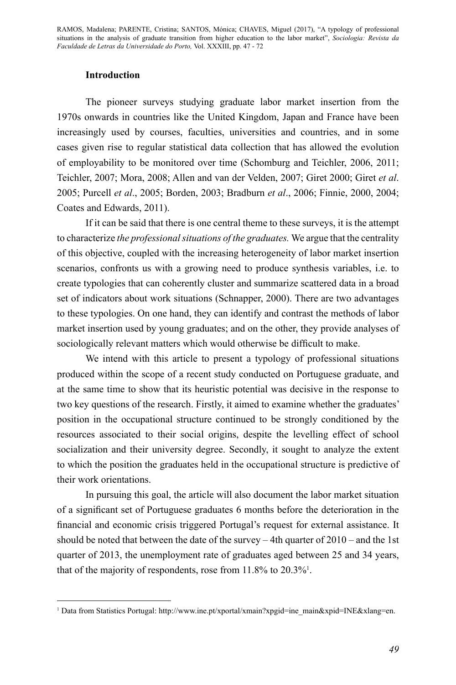# **Introduction**

The pioneer surveys studying graduate labor market insertion from the 1970s onwards in countries like the United Kingdom, Japan and France have been increasingly used by courses, faculties, universities and countries, and in some cases given rise to regular statistical data collection that has allowed the evolution of employability to be monitored over time (Schomburg and Teichler, 2006, 2011; Teichler, 2007; Mora, 2008; Allen and van der Velden, 2007; Giret 2000; Giret *et al*. 2005; Purcell *et al*., 2005; Borden, 2003; Bradburn *et al*., 2006; Finnie, 2000, 2004; Coates and Edwards, 2011).

If it can be said that there is one central theme to these surveys, it is the attempt to characterize *the professional situations of the graduates.* We argue that the centrality of this objective, coupled with the increasing heterogeneity of labor market insertion scenarios, confronts us with a growing need to produce synthesis variables, i.e. to create typologies that can coherently cluster and summarize scattered data in a broad set of indicators about work situations (Schnapper, 2000). There are two advantages to these typologies. On one hand, they can identify and contrast the methods of labor market insertion used by young graduates; and on the other, they provide analyses of sociologically relevant matters which would otherwise be difficult to make.

We intend with this article to present a typology of professional situations produced within the scope of a recent study conducted on Portuguese graduate, and at the same time to show that its heuristic potential was decisive in the response to two key questions of the research. Firstly, it aimed to examine whether the graduates' position in the occupational structure continued to be strongly conditioned by the resources associated to their social origins, despite the levelling effect of school socialization and their university degree. Secondly, it sought to analyze the extent to which the position the graduates held in the occupational structure is predictive of their work orientations.

In pursuing this goal, the article will also document the labor market situation of a significant set of Portuguese graduates 6 months before the deterioration in the financial and economic crisis triggered Portugal's request for external assistance. It should be noted that between the date of the survey – 4th quarter of 2010 – and the 1st quarter of 2013, the unemployment rate of graduates aged between 25 and 34 years, that of the majority of respondents, rose from  $11.8\%$  to  $20.3\%$ <sup>1</sup>.

<sup>1</sup> Data from Statistics Portugal: http://www.ine.pt/xportal/xmain?xpgid=ine\_main&xpid=INE&xlang=en.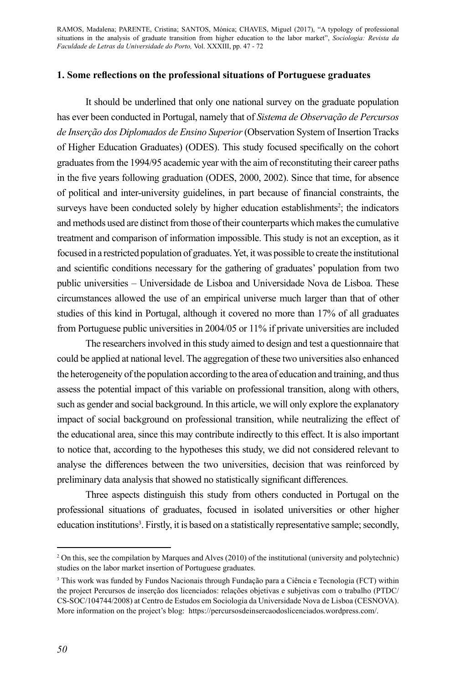### **1. Some reflections on the professional situations of Portuguese graduates**

It should be underlined that only one national survey on the graduate population has ever been conducted in Portugal, namely that of *Sistema de Observação de Percursos de Inserção dos Diplomados de Ensino Superior* (Observation System of Insertion Tracks of Higher Education Graduates) (ODES). This study focused specifically on the cohort graduates from the 1994/95 academic year with the aim of reconstituting their career paths in the five years following graduation (ODES, 2000, 2002). Since that time, for absence of political and inter-university guidelines, in part because of financial constraints, the surveys have been conducted solely by higher education establishments<sup>2</sup>; the indicators and methods used are distinct from those of their counterparts which makes the cumulative treatment and comparison of information impossible. This study is not an exception, as it focused in a restricted population of graduates. Yet, it was possible to create the institutional and scientific conditions necessary for the gathering of graduates' population from two public universities – Universidade de Lisboa and Universidade Nova de Lisboa. These circumstances allowed the use of an empirical universe much larger than that of other studies of this kind in Portugal, although it covered no more than 17% of all graduates from Portuguese public universities in 2004/05 or 11% if private universities are included

The researchers involved in this study aimed to design and test a questionnaire that could be applied at national level. The aggregation of these two universities also enhanced the heterogeneity of the population according to the area of education and training, and thus assess the potential impact of this variable on professional transition, along with others, such as gender and social background. In this article, we will only explore the explanatory impact of social background on professional transition, while neutralizing the effect of the educational area, since this may contribute indirectly to this effect. It is also important to notice that, according to the hypotheses this study, we did not considered relevant to analyse the differences between the two universities, decision that was reinforced by preliminary data analysis that showed no statistically significant differences.

Three aspects distinguish this study from others conducted in Portugal on the professional situations of graduates, focused in isolated universities or other higher education institutions<sup>3</sup>. Firstly, it is based on a statistically representative sample; secondly,

<sup>2</sup> On this, see the compilation by Marques and Alves (2010) of the institutional (university and polytechnic) studies on the labor market insertion of Portuguese graduates.

<sup>3</sup> This work was funded by Fundos Nacionais through Fundação para a Ciência e Tecnologia (FCT) within the project Percursos de inserção dos licenciados: relações objetivas e subjetivas com o trabalho (PTDC/ CS-SOC/104744/2008) at Centro de Estudos em Sociologia da Universidade Nova de Lisboa (CESNOVA). More information on the project's blog: https://percursosdeinsercaodoslicenciados.wordpress.com/.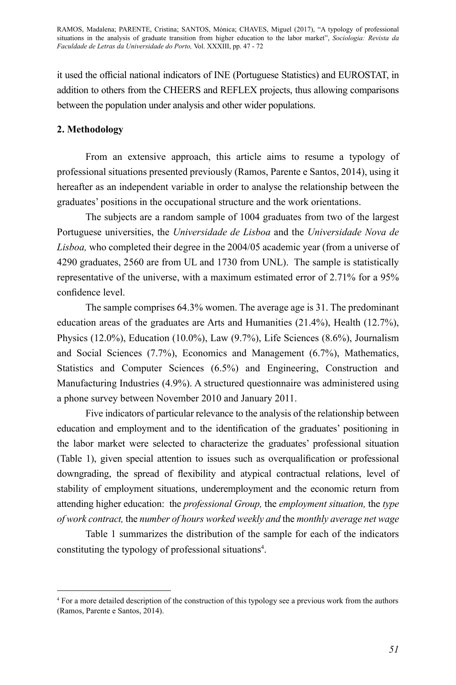it used the official national indicators of INE (Portuguese Statistics) and EUROSTAT, in addition to others from the CHEERS and REFLEX projects, thus allowing comparisons between the population under analysis and other wider populations.

# **2. Methodology**

From an extensive approach, this article aims to resume a typology of professional situations presented previously (Ramos, Parente e Santos, 2014), using it hereafter as an independent variable in order to analyse the relationship between the graduates' positions in the occupational structure and the work orientations.

The subjects are a random sample of 1004 graduates from two of the largest Portuguese universities, the *Universidade de Lisboa* and the *Universidade Nova de Lisboa,* who completed their degree in the 2004/05 academic year (from a universe of 4290 graduates, 2560 are from UL and 1730 from UNL). The sample is statistically representative of the universe, with a maximum estimated error of 2.71% for a 95% confidence level.

The sample comprises 64.3% women. The average age is 31. The predominant education areas of the graduates are Arts and Humanities (21.4%), Health (12.7%), Physics (12.0%), Education (10.0%), Law (9.7%), Life Sciences (8.6%), Journalism and Social Sciences (7.7%), Economics and Management (6.7%), Mathematics, Statistics and Computer Sciences (6.5%) and Engineering, Construction and Manufacturing Industries (4.9%). A structured questionnaire was administered using a phone survey between November 2010 and January 2011.

Five indicators of particular relevance to the analysis of the relationship between education and employment and to the identification of the graduates' positioning in the labor market were selected to characterize the graduates' professional situation (Table 1), given special attention to issues such as overqualification or professional downgrading, the spread of flexibility and atypical contractual relations, level of stability of employment situations, underemployment and the economic return from attending higher education: the *professional Group,* the *employment situation,* the *type of work contract,* the *number of hours worked weekly and* the *monthly average net wage*

Table 1 summarizes the distribution of the sample for each of the indicators constituting the typology of professional situations<sup>4</sup>.

<sup>4</sup> For a more detailed description of the construction of this typology see a previous work from the authors (Ramos, Parente e Santos, 2014).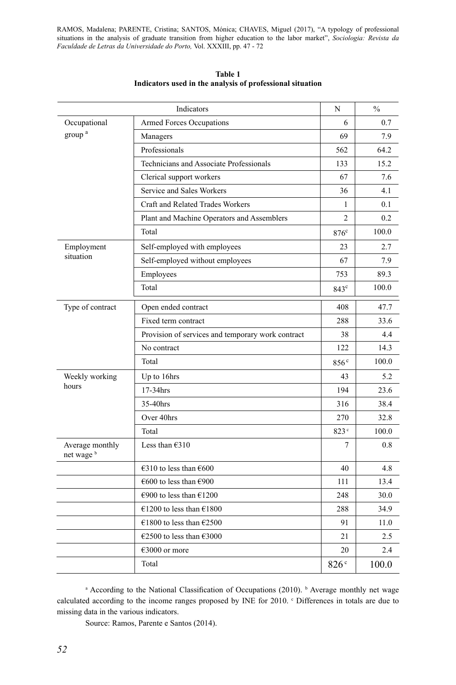| Indicators                    |                                                   | N                | $\frac{0}{0}$ |
|-------------------------------|---------------------------------------------------|------------------|---------------|
| Occupational                  | <b>Armed Forces Occupations</b>                   | 6                | 0.7           |
| group <sup>a</sup>            | Managers                                          | 69               | 7.9           |
|                               | Professionals                                     | 562              | 64.2          |
|                               | Technicians and Associate Professionals           | 133              | 15.2          |
|                               | Clerical support workers                          | 67               | 7.6           |
|                               | Service and Sales Workers                         | 36               | 4.1           |
|                               | Craft and Related Trades Workers                  | 1                | 0.1           |
|                               | Plant and Machine Operators and Assemblers        | 2                | 0.2           |
|                               | Total                                             | $876^c$          | 100.0         |
| Employment                    | Self-employed with employees                      | 23               | 2.7           |
| situation                     | Self-employed without employees                   | 67               | 7.9           |
|                               | Employees                                         | 753              | 89.3          |
|                               | Total                                             | $843^{\circ}$    | 100.0         |
| Type of contract              | Open ended contract                               | 408              | 47.7          |
|                               | Fixed term contract                               | 288              | 33.6          |
|                               | Provision of services and temporary work contract | 38               | 4.4           |
|                               | No contract                                       | 122              | 14.3          |
|                               | Total                                             | 856 <sup>c</sup> | 100.0         |
| Weekly working                | Up to 16hrs                                       | 43               | 5.2           |
| hours                         | 17-34hrs                                          | 194              | 23.6          |
|                               | 35-40hrs                                          | 316              | 38.4          |
|                               | Over 40hrs                                        | 270              | 32.8          |
|                               | Total                                             | 823 <sup>c</sup> | 100.0         |
| Average monthly<br>net wage b | Less than $€310$                                  | 7                | 0.8           |
|                               | €310 to less than $€600$                          | 40               | 4.8           |
|                               | €600 to less than €900                            | 111              | 13.4          |
|                               | €900 to less than €1200                           | 248              | 30.0          |
|                               | €1200 to less than €1800                          | 288              | 34.9          |
|                               | €1800 to less than €2500                          | 91               | 11.0          |
|                               | €2500 to less than €3000                          | 21               | 2.5           |
|                               | €3000 or more                                     | 20               | 2.4           |
|                               | Total                                             | 826 <sup>c</sup> | 100.0         |

**Table 1 Indicators used in the analysis of professional situation**

<sup>a</sup> According to the National Classification of Occupations (2010). <sup>b</sup> Average monthly net wage calculated according to the income ranges proposed by INE for 2010.  $\degree$  Differences in totals are due to missing data in the various indicators.

Source: Ramos, Parente e Santos (2014).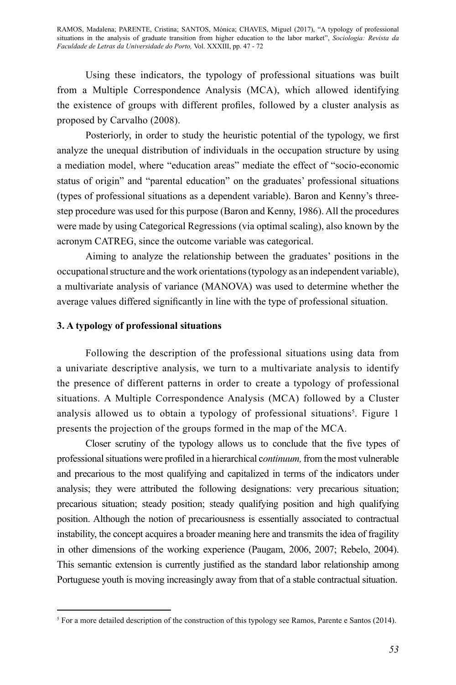Using these indicators, the typology of professional situations was built from a Multiple Correspondence Analysis (MCA), which allowed identifying the existence of groups with different profiles, followed by a cluster analysis as proposed by Carvalho (2008).

Posteriorly, in order to study the heuristic potential of the typology, we first analyze the unequal distribution of individuals in the occupation structure by using a mediation model, where "education areas" mediate the effect of "socio-economic status of origin" and "parental education" on the graduates' professional situations (types of professional situations as a dependent variable). Baron and Kenny's threestep procedure was used for this purpose (Baron and Kenny, 1986). All the procedures were made by using Categorical Regressions (via optimal scaling), also known by the acronym CATREG, since the outcome variable was categorical.

Aiming to analyze the relationship between the graduates' positions in the occupational structure and the work orientations (typology as an independent variable), a multivariate analysis of variance (MANOVA) was used to determine whether the average values differed significantly in line with the type of professional situation.

# **3. A typology of professional situations**

Following the description of the professional situations using data from a univariate descriptive analysis, we turn to a multivariate analysis to identify the presence of different patterns in order to create a typology of professional situations. A Multiple Correspondence Analysis (MCA) followed by a Cluster analysis allowed us to obtain a typology of professional situations<sup>5</sup>. Figure 1 presents the projection of the groups formed in the map of the MCA.

Closer scrutiny of the typology allows us to conclude that the five types of professional situations were profiled in a hierarchical c*ontinuum,* from the most vulnerable and precarious to the most qualifying and capitalized in terms of the indicators under analysis; they were attributed the following designations: very precarious situation; precarious situation; steady position; steady qualifying position and high qualifying position. Although the notion of precariousness is essentially associated to contractual instability, the concept acquires a broader meaning here and transmits the idea of fragility in other dimensions of the working experience (Paugam, 2006, 2007; Rebelo, 2004). This semantic extension is currently justified as the standard labor relationship among Portuguese youth is moving increasingly away from that of a stable contractual situation.

<sup>&</sup>lt;sup>5</sup> For a more detailed description of the construction of this typology see Ramos, Parente e Santos (2014).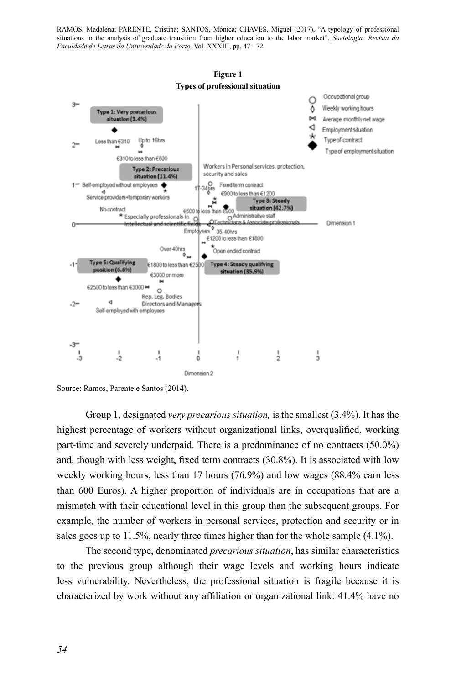

**Figure 1** 

Source: Ramos, Parente e Santos (2014).

Group 1, designated *very precarious situation,* is the smallest (3.4%). It has the highest percentage of workers without organizational links, overqualified, working part-time and severely underpaid. There is a predominance of no contracts (50.0%) and, though with less weight, fixed term contracts (30.8%). It is associated with low weekly working hours, less than 17 hours (76.9%) and low wages (88.4% earn less than 600 Euros). A higher proportion of individuals are in occupations that are a mismatch with their educational level in this group than the subsequent groups. For example, the number of workers in personal services, protection and security or in sales goes up to  $11.5\%$ , nearly three times higher than for the whole sample  $(4.1\%)$ .

The second type, denominated *precarious situation*, has similar characteristics to the previous group although their wage levels and working hours indicate less vulnerability. Nevertheless, the professional situation is fragile because it is characterized by work without any affiliation or organizational link: 41.4% have no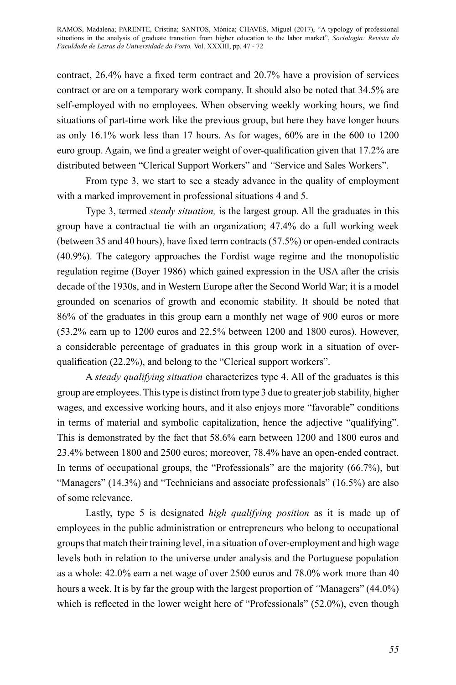contract, 26.4% have a fixed term contract and 20.7% have a provision of services contract or are on a temporary work company. It should also be noted that 34.5% are self-employed with no employees. When observing weekly working hours, we find situations of part-time work like the previous group, but here they have longer hours as only 16.1% work less than 17 hours. As for wages, 60% are in the 600 to 1200 euro group. Again, we find a greater weight of over-qualification given that 17.2% are distributed between "Clerical Support Workers" and *"*Service and Sales Workers".

From type 3, we start to see a steady advance in the quality of employment with a marked improvement in professional situations 4 and 5.

Type 3, termed *steady situation,* is the largest group. All the graduates in this group have a contractual tie with an organization; 47.4% do a full working week (between 35 and 40 hours), have fixed term contracts (57.5%) or open-ended contracts (40.9%). The category approaches the Fordist wage regime and the monopolistic regulation regime (Boyer 1986) which gained expression in the USA after the crisis decade of the 1930s, and in Western Europe after the Second World War; it is a model grounded on scenarios of growth and economic stability. It should be noted that 86% of the graduates in this group earn a monthly net wage of 900 euros or more (53.2% earn up to 1200 euros and 22.5% between 1200 and 1800 euros). However, a considerable percentage of graduates in this group work in a situation of overqualification (22.2%), and belong to the "Clerical support workers".

A *steady qualifying situation* characterizes type 4. All of the graduates is this group are employees. This type is distinct from type 3 due to greater job stability, higher wages, and excessive working hours, and it also enjoys more "favorable" conditions in terms of material and symbolic capitalization, hence the adjective "qualifying". This is demonstrated by the fact that 58.6% earn between 1200 and 1800 euros and 23.4% between 1800 and 2500 euros; moreover, 78.4% have an open-ended contract. In terms of occupational groups, the "Professionals" are the majority (66.7%), but "Managers" (14.3%) and "Technicians and associate professionals" (16.5%) are also of some relevance.

Lastly, type 5 is designated *high qualifying position* as it is made up of employees in the public administration or entrepreneurs who belong to occupational groups that match their training level, in a situation of over-employment and high wage levels both in relation to the universe under analysis and the Portuguese population as a whole: 42.0% earn a net wage of over 2500 euros and 78.0% work more than 40 hours a week. It is by far the group with the largest proportion of *"*Managers" (44.0%) which is reflected in the lower weight here of "Professionals" (52.0%), even though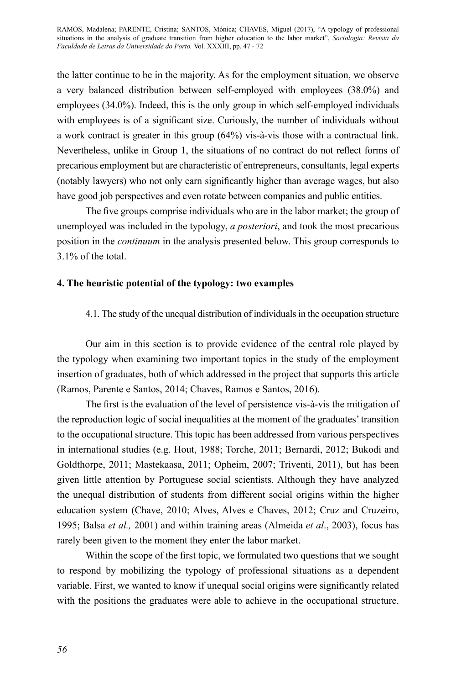the latter continue to be in the majority. As for the employment situation, we observe a very balanced distribution between self-employed with employees (38.0%) and employees (34.0%). Indeed, this is the only group in which self-employed individuals with employees is of a significant size. Curiously, the number of individuals without a work contract is greater in this group (64%) vis-à-vis those with a contractual link. Nevertheless, unlike in Group 1, the situations of no contract do not reflect forms of precarious employment but are characteristic of entrepreneurs, consultants, legal experts (notably lawyers) who not only earn significantly higher than average wages, but also have good job perspectives and even rotate between companies and public entities.

The five groups comprise individuals who are in the labor market; the group of unemployed was included in the typology, *a posteriori*, and took the most precarious position in the *continuum* in the analysis presented below. This group corresponds to 3.1% of the total.

# **4. The heuristic potential of the typology: two examples**

# 4.1. The study of the unequal distribution of individuals in the occupation structure

Our aim in this section is to provide evidence of the central role played by the typology when examining two important topics in the study of the employment insertion of graduates, both of which addressed in the project that supports this article (Ramos, Parente e Santos, 2014; Chaves, Ramos e Santos, 2016).

The first is the evaluation of the level of persistence vis-à-vis the mitigation of the reproduction logic of social inequalities at the moment of the graduates' transition to the occupational structure. This topic has been addressed from various perspectives in international studies (e.g. Hout, 1988; Torche, 2011; Bernardi, 2012; Bukodi and Goldthorpe, 2011; Mastekaasa, 2011; Opheim, 2007; Triventi, 2011), but has been given little attention by Portuguese social scientists. Although they have analyzed the unequal distribution of students from different social origins within the higher education system (Chave, 2010; Alves, Alves e Chaves, 2012; Cruz and Cruzeiro, 1995; Balsa *et al.,* 2001) and within training areas (Almeida *et al*., 2003), focus has rarely been given to the moment they enter the labor market.

Within the scope of the first topic, we formulated two questions that we sought to respond by mobilizing the typology of professional situations as a dependent variable. First, we wanted to know if unequal social origins were significantly related with the positions the graduates were able to achieve in the occupational structure.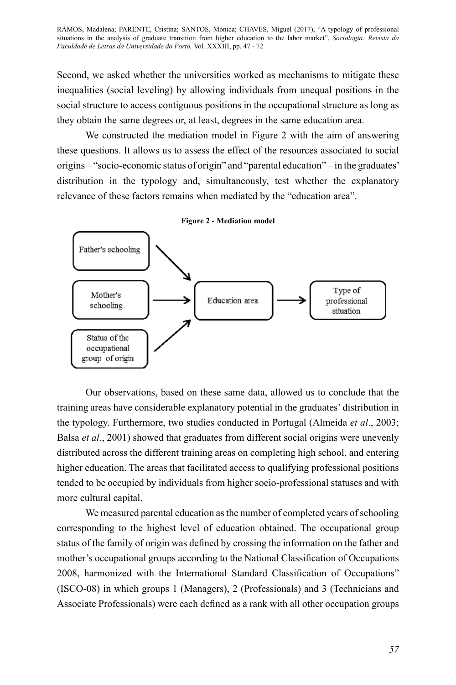Second, we asked whether the universities worked as mechanisms to mitigate these inequalities (social leveling) by allowing individuals from unequal positions in the social structure to access contiguous positions in the occupational structure as long as they obtain the same degrees or, at least, degrees in the same education area.

We constructed the mediation model in Figure 2 with the aim of answering these questions. It allows us to assess the effect of the resources associated to social origins – "socio-economic status of origin" and "parental education" – in the graduates' distribution in the typology and, simultaneously, test whether the explanatory relevance of these factors remains when mediated by the "education area".



Our observations, based on these same data, allowed us to conclude that the training areas have considerable explanatory potential in the graduates' distribution in the typology. Furthermore, two studies conducted in Portugal (Almeida *et al*., 2003; Balsa *et al*., 2001) showed that graduates from different social origins were unevenly distributed across the different training areas on completing high school, and entering higher education. The areas that facilitated access to qualifying professional positions tended to be occupied by individuals from higher socio-professional statuses and with more cultural capital.

We measured parental education as the number of completed years of schooling corresponding to the highest level of education obtained. The occupational group status of the family of origin was defined by crossing the information on the father and mother's occupational groups according to the National Classification of Occupations 2008, harmonized with the International Standard Classification of Occupations" (ISCO-08) in which groups 1 (Managers), 2 (Professionals) and 3 (Technicians and Associate Professionals) were each defined as a rank with all other occupation groups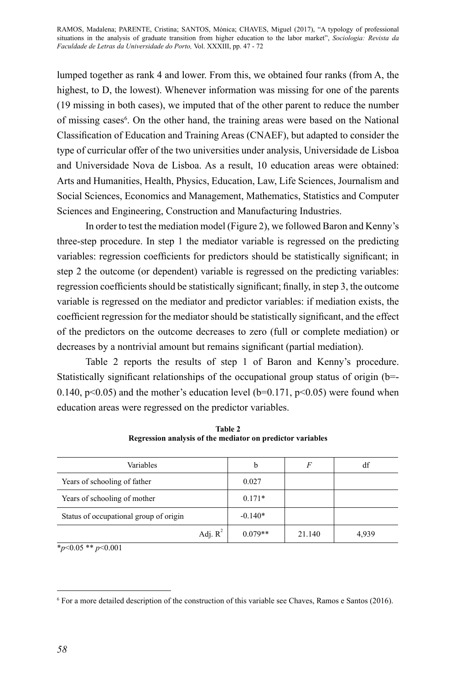lumped together as rank 4 and lower. From this, we obtained four ranks (from A, the highest, to D, the lowest). Whenever information was missing for one of the parents (19 missing in both cases), we imputed that of the other parent to reduce the number of missing cases<sup>6</sup>. On the other hand, the training areas were based on the National Classification of Education and Training Areas (CNAEF), but adapted to consider the type of curricular offer of the two universities under analysis, Universidade de Lisboa and Universidade Nova de Lisboa. As a result, 10 education areas were obtained: Arts and Humanities, Health, Physics, Education, Law, Life Sciences, Journalism and Social Sciences, Economics and Management, Mathematics, Statistics and Computer Sciences and Engineering, Construction and Manufacturing Industries.

In order to test the mediation model (Figure 2), we followed Baron and Kenny's three-step procedure. In step 1 the mediator variable is regressed on the predicting variables: regression coefficients for predictors should be statistically significant; in step 2 the outcome (or dependent) variable is regressed on the predicting variables: regression coefficients should be statistically significant; finally, in step 3, the outcome variable is regressed on the mediator and predictor variables: if mediation exists, the coefficient regression for the mediator should be statistically significant, and the effect of the predictors on the outcome decreases to zero (full or complete mediation) or decreases by a nontrivial amount but remains significant (partial mediation).

Table 2 reports the results of step 1 of Baron and Kenny's procedure. Statistically significant relationships of the occupational group status of origin (b=- 0.140,  $p<0.05$ ) and the mother's education level (b=0.171,  $p<0.05$ ) were found when education areas were regressed on the predictor variables.

| Variables                              | b         | F      | df    |
|----------------------------------------|-----------|--------|-------|
| Years of schooling of father           | 0.027     |        |       |
| Years of schooling of mother           | $0.171*$  |        |       |
| Status of occupational group of origin | $-0.140*$ |        |       |
| Adj. $R^2$                             | $0.079**$ | 21.140 | 4,939 |

**Table 2 Regression analysis of the mediator on predictor variables** 

\**p*<0.05 \*\* *p*<0.001

<sup>6</sup> For a more detailed description of the construction of this variable see Chaves, Ramos e Santos (2016).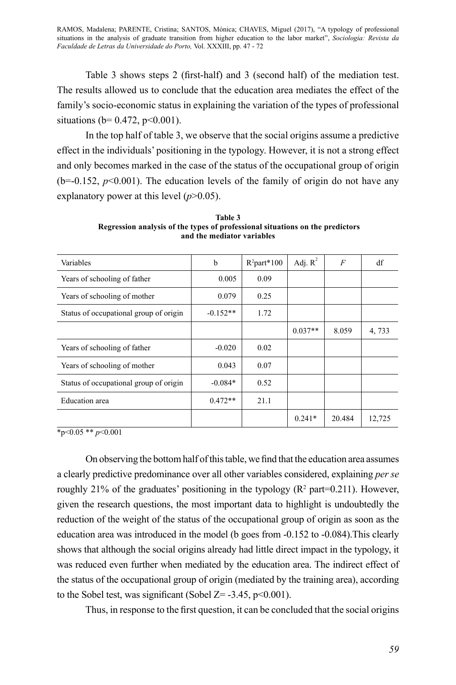Table 3 shows steps 2 (first-half) and 3 (second half) of the mediation test. The results allowed us to conclude that the education area mediates the effect of the family's socio-economic status in explaining the variation of the types of professional situations ( $b= 0.472$ ,  $p<0.001$ ).

In the top half of table 3, we observe that the social origins assume a predictive effect in the individuals' positioning in the typology. However, it is not a strong effect and only becomes marked in the case of the status of the occupational group of origin  $(b=-0.152, p<0.001)$ . The education levels of the family of origin do not have any explanatory power at this level (*p*>0.05).

| Variables                              | b          | $R^2$ part*100 | Adj. $R^2$ | $\overline{F}$ | df     |
|----------------------------------------|------------|----------------|------------|----------------|--------|
| Years of schooling of father           | 0.005      | 0.09           |            |                |        |
| Years of schooling of mother           | 0.079      | 0.25           |            |                |        |
| Status of occupational group of origin | $-0.152**$ | 1.72           |            |                |        |
|                                        |            |                | $0.037**$  | 8.059          | 4,733  |
| Years of schooling of father           | $-0.020$   | 0.02           |            |                |        |
| Years of schooling of mother           | 0.043      | 0.07           |            |                |        |
| Status of occupational group of origin | $-0.084*$  | 0.52           |            |                |        |
| Education area                         | $0.472**$  | 21.1           |            |                |        |
|                                        |            |                | $0.241*$   | 20.484         | 12,725 |

**Table 3 Regression analysis of the types of professional situations on the predictors and the mediator variables** 

 $\sqrt{\frac{1}{2}p}$  <0.05  $\sqrt{\frac{1}{2}p}$  <0.001

On observing the bottom half of this table, we find that the education area assumes a clearly predictive predominance over all other variables considered, explaining *per se* roughly 21% of the graduates' positioning in the typology  $(R^2 \text{ part} = 0.211)$ . However, given the research questions, the most important data to highlight is undoubtedly the reduction of the weight of the status of the occupational group of origin as soon as the education area was introduced in the model (b goes from -0.152 to -0.084).This clearly shows that although the social origins already had little direct impact in the typology, it was reduced even further when mediated by the education area. The indirect effect of the status of the occupational group of origin (mediated by the training area), according to the Sobel test, was significant (Sobel  $Z = -3.45$ , p<0.001).

Thus, in response to the first question, it can be concluded that the social origins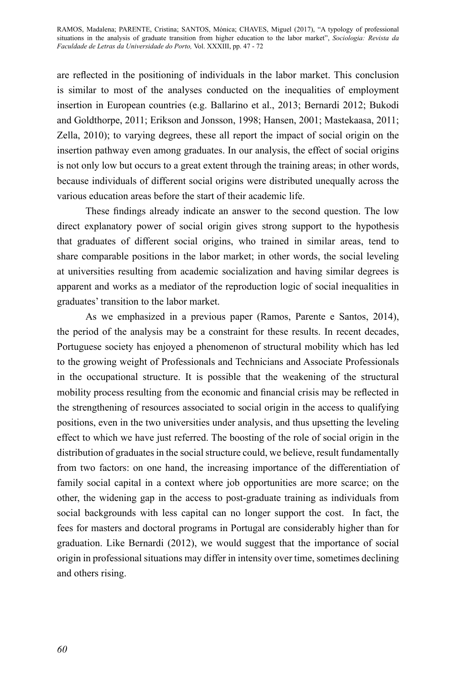are reflected in the positioning of individuals in the labor market. This conclusion is similar to most of the analyses conducted on the inequalities of employment insertion in European countries (e.g. Ballarino et al., 2013; Bernardi 2012; Bukodi and Goldthorpe, 2011; Erikson and Jonsson, 1998; Hansen, 2001; Mastekaasa, 2011; Zella, 2010); to varying degrees, these all report the impact of social origin on the insertion pathway even among graduates. In our analysis, the effect of social origins is not only low but occurs to a great extent through the training areas; in other words, because individuals of different social origins were distributed unequally across the various education areas before the start of their academic life.

These findings already indicate an answer to the second question. The low direct explanatory power of social origin gives strong support to the hypothesis that graduates of different social origins, who trained in similar areas, tend to share comparable positions in the labor market; in other words, the social leveling at universities resulting from academic socialization and having similar degrees is apparent and works as a mediator of the reproduction logic of social inequalities in graduates' transition to the labor market.

As we emphasized in a previous paper (Ramos, Parente e Santos, 2014), the period of the analysis may be a constraint for these results. In recent decades, Portuguese society has enjoyed a phenomenon of structural mobility which has led to the growing weight of Professionals and Technicians and Associate Professionals in the occupational structure. It is possible that the weakening of the structural mobility process resulting from the economic and financial crisis may be reflected in the strengthening of resources associated to social origin in the access to qualifying positions, even in the two universities under analysis, and thus upsetting the leveling effect to which we have just referred. The boosting of the role of social origin in the distribution of graduates in the social structure could, we believe, result fundamentally from two factors: on one hand, the increasing importance of the differentiation of family social capital in a context where job opportunities are more scarce; on the other, the widening gap in the access to post-graduate training as individuals from social backgrounds with less capital can no longer support the cost. In fact, the fees for masters and doctoral programs in Portugal are considerably higher than for graduation. Like Bernardi (2012), we would suggest that the importance of social origin in professional situations may differ in intensity over time, sometimes declining and others rising.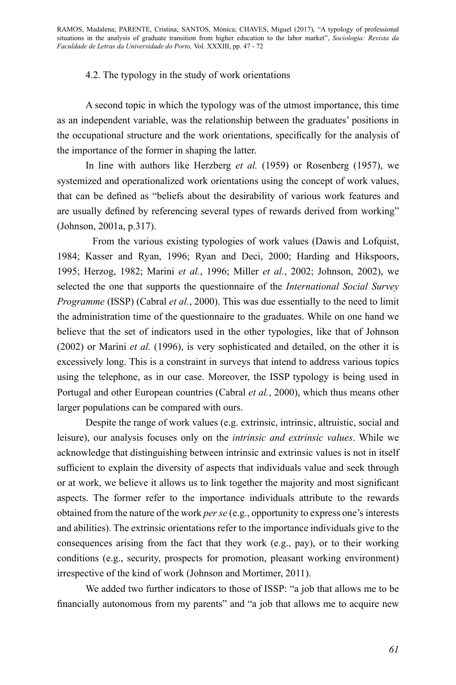# 4.2. The typology in the study of work orientations

A second topic in which the typology was of the utmost importance, this time as an independent variable, was the relationship between the graduates' positions in the occupational structure and the work orientations, specifically for the analysis of the importance of the former in shaping the latter.

In line with authors like Herzberg *et al.* (1959) or Rosenberg (1957), we systemized and operationalized work orientations using the concept of work values, that can be defined as "beliefs about the desirability of various work features and are usually defined by referencing several types of rewards derived from working" (Johnson, 2001a, p.317).

From the various existing typologies of work values (Dawis and Lofquist, 1984; Kasser and Ryan, 1996; Ryan and Deci, 2000; Harding and Hikspoors, 1995; Herzog, 1982; Marini *et al.*, 1996; Miller *et al.*, 2002; Johnson, 2002), we selected the one that supports the questionnaire of the *International Social Survey Programme* (ISSP) (Cabral *et al.*, 2000). This was due essentially to the need to limit the administration time of the questionnaire to the graduates. While on one hand we believe that the set of indicators used in the other typologies, like that of Johnson (2002) or Marini *et al.* (1996), is very sophisticated and detailed, on the other it is excessively long. This is a constraint in surveys that intend to address various topics using the telephone, as in our case. Moreover, the ISSP typology is being used in Portugal and other European countries (Cabral *et al.*, 2000), which thus means other larger populations can be compared with ours.

Despite the range of work values (e.g. extrinsic, intrinsic, altruistic, social and leisure), our analysis focuses only on the *intrinsic and extrinsic values*. While we acknowledge that distinguishing between intrinsic and extrinsic values is not in itself sufficient to explain the diversity of aspects that individuals value and seek through or at work, we believe it allows us to link together the majority and most significant aspects. The former refer to the importance individuals attribute to the rewards obtained from the nature of the work *per se* (e.g., opportunity to express one's interests and abilities). The extrinsic orientations refer to the importance individuals give to the consequences arising from the fact that they work (e.g., pay), or to their working conditions (e.g., security, prospects for promotion, pleasant working environment) irrespective of the kind of work (Johnson and Mortimer, 2011).

We added two further indicators to those of ISSP: "a job that allows me to be financially autonomous from my parents" and "a job that allows me to acquire new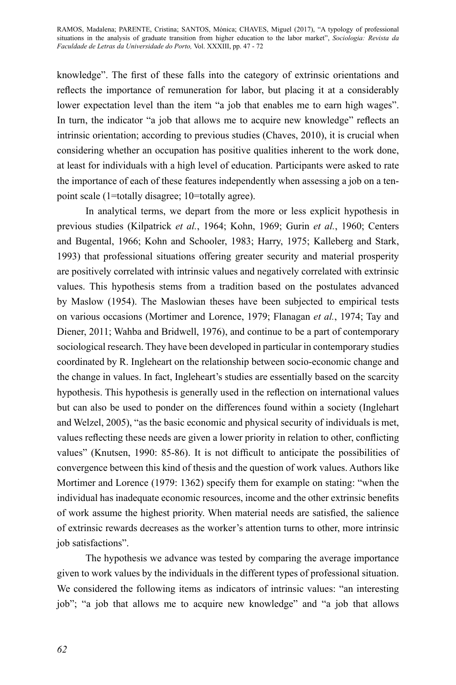knowledge". The first of these falls into the category of extrinsic orientations and reflects the importance of remuneration for labor, but placing it at a considerably lower expectation level than the item "a job that enables me to earn high wages". In turn, the indicator "a job that allows me to acquire new knowledge" reflects an intrinsic orientation; according to previous studies (Chaves, 2010), it is crucial when considering whether an occupation has positive qualities inherent to the work done, at least for individuals with a high level of education. Participants were asked to rate the importance of each of these features independently when assessing a job on a tenpoint scale (1=totally disagree; 10=totally agree).

In analytical terms, we depart from the more or less explicit hypothesis in previous studies (Kilpatrick *et al.*, 1964; Kohn, 1969; Gurin *et al.*, 1960; Centers and Bugental, 1966; Kohn and Schooler, 1983; Harry, 1975; Kalleberg and Stark, 1993) that professional situations offering greater security and material prosperity are positively correlated with intrinsic values and negatively correlated with extrinsic values. This hypothesis stems from a tradition based on the postulates advanced by Maslow (1954). The Maslowian theses have been subjected to empirical tests on various occasions (Mortimer and Lorence, 1979; Flanagan *et al.*, 1974; Tay and Diener, 2011; Wahba and Bridwell, 1976), and continue to be a part of contemporary sociological research. They have been developed in particular in contemporary studies coordinated by R. Ingleheart on the relationship between socio-economic change and the change in values. In fact, Ingleheart's studies are essentially based on the scarcity hypothesis. This hypothesis is generally used in the reflection on international values but can also be used to ponder on the differences found within a society (Inglehart and Welzel, 2005), "as the basic economic and physical security of individuals is met, values reflecting these needs are given a lower priority in relation to other, conflicting values" (Knutsen, 1990: 85-86). It is not difficult to anticipate the possibilities of convergence between this kind of thesis and the question of work values. Authors like Mortimer and Lorence (1979: 1362) specify them for example on stating: "when the individual has inadequate economic resources, income and the other extrinsic benefits of work assume the highest priority. When material needs are satisfied, the salience of extrinsic rewards decreases as the worker's attention turns to other, more intrinsic job satisfactions".

The hypothesis we advance was tested by comparing the average importance given to work values by the individuals in the different types of professional situation. We considered the following items as indicators of intrinsic values: "an interesting job"; "a job that allows me to acquire new knowledge" and "a job that allows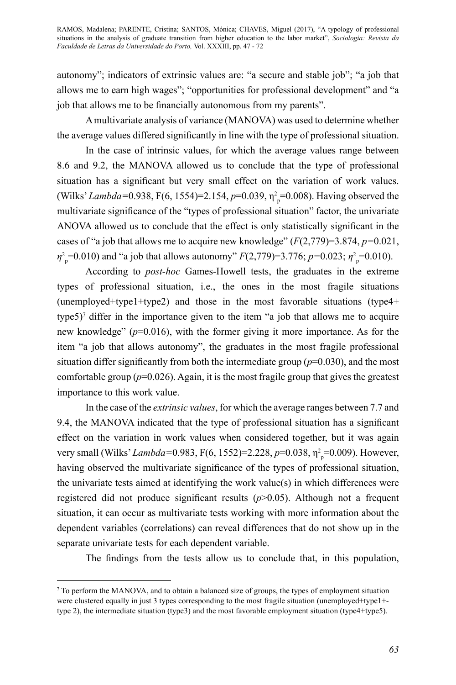autonomy"; indicators of extrinsic values are: "a secure and stable job"; "a job that allows me to earn high wages"; "opportunities for professional development" and "a job that allows me to be financially autonomous from my parents".

A multivariate analysis of variance (MANOVA) was used to determine whether the average values differed significantly in line with the type of professional situation.

In the case of intrinsic values, for which the average values range between 8.6 and 9.2, the MANOVA allowed us to conclude that the type of professional situation has a significant but very small effect on the variation of work values. (Wilks' *Lambda*=0.938, F(6, 1554)=2.154, *p*=0.039, η<sup>2</sup><sub>p</sub>=0.008). Having observed the multivariate significance of the "types of professional situation" factor, the univariate ANOVA allowed us to conclude that the effect is only statistically significant in the cases of "a job that allows me to acquire new knowledge" (*F*(2,779)=3.874, *p=*0.021,  $\eta_{\text{p}}^2$ =0.010) and "a job that allows autonomy" *F*(2,779)=3.776; *p*=0.023;  $\eta_{\text{p}}^2$ =0.010).

According to *post-hoc* Games-Howell tests, the graduates in the extreme types of professional situation, i.e., the ones in the most fragile situations (unemployed+type1+type2) and those in the most favorable situations (type4+ type5)<sup>7</sup> differ in the importance given to the item "a job that allows me to acquire new knowledge" (*p*=0.016), with the former giving it more importance. As for the item "a job that allows autonomy", the graduates in the most fragile professional situation differ significantly from both the intermediate group  $(p=0.030)$ , and the most comfortable group  $(p=0.026)$ . Again, it is the most fragile group that gives the greatest importance to this work value.

In the case of the *extrinsic values*, for which the average ranges between 7.7 and 9.4, the MANOVA indicated that the type of professional situation has a significant effect on the variation in work values when considered together, but it was again very small (Wilks' *Lambda*=0.983, F(6, 1552)=2.228, *p*=0.038, η<sup>2</sup><sub>p</sub>=0.009). However, having observed the multivariate significance of the types of professional situation, the univariate tests aimed at identifying the work value(s) in which differences were registered did not produce significant results (*p*>0.05). Although not a frequent situation, it can occur as multivariate tests working with more information about the dependent variables (correlations) can reveal differences that do not show up in the separate univariate tests for each dependent variable.

The findings from the tests allow us to conclude that, in this population,

 $\sigma$  To perform the MANOVA, and to obtain a balanced size of groups, the types of employment situation were clustered equally in just 3 types corresponding to the most fragile situation (unemployed+type1+ type 2), the intermediate situation (type3) and the most favorable employment situation (type4+type5).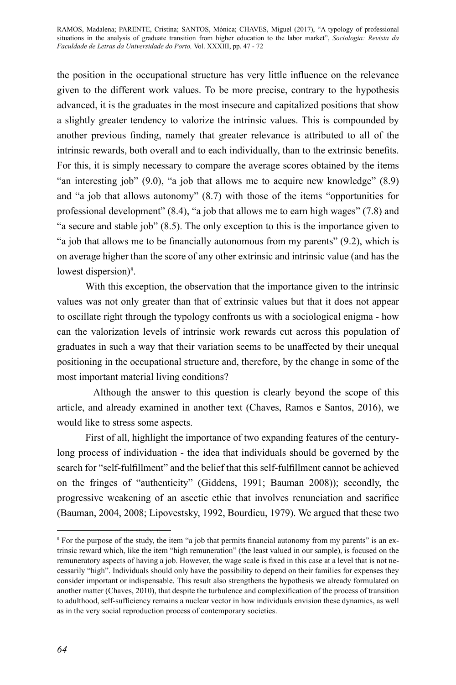the position in the occupational structure has very little influence on the relevance given to the different work values. To be more precise, contrary to the hypothesis advanced, it is the graduates in the most insecure and capitalized positions that show a slightly greater tendency to valorize the intrinsic values. This is compounded by another previous finding, namely that greater relevance is attributed to all of the intrinsic rewards, both overall and to each individually, than to the extrinsic benefits. For this, it is simply necessary to compare the average scores obtained by the items "an interesting job" (9.0), "a job that allows me to acquire new knowledge" (8.9) and "a job that allows autonomy" (8.7) with those of the items "opportunities for professional development" (8.4), "a job that allows me to earn high wages" (7.8) and "a secure and stable job" (8.5). The only exception to this is the importance given to "a job that allows me to be financially autonomous from my parents" (9.2), which is on average higher than the score of any other extrinsic and intrinsic value (and has the lowest dispersion)<sup>8</sup>.

With this exception, the observation that the importance given to the intrinsic values was not only greater than that of extrinsic values but that it does not appear to oscillate right through the typology confronts us with a sociological enigma - how can the valorization levels of intrinsic work rewards cut across this population of graduates in such a way that their variation seems to be unaffected by their unequal positioning in the occupational structure and, therefore, by the change in some of the most important material living conditions?

Although the answer to this question is clearly beyond the scope of this article, and already examined in another text (Chaves, Ramos e Santos, 2016), we would like to stress some aspects.

First of all, highlight the importance of two expanding features of the centurylong process of individuation - the idea that individuals should be governed by the search for "self-fulfillment" and the belief that this self-fulfillment cannot be achieved on the fringes of "authenticity" (Giddens, 1991; Bauman 2008)); secondly, the progressive weakening of an ascetic ethic that involves renunciation and sacrifice (Bauman, 2004, 2008; Lipovestsky, 1992, Bourdieu, 1979). We argued that these two

<sup>8</sup> For the purpose of the study, the item "a job that permits financial autonomy from my parents" is an extrinsic reward which, like the item "high remuneration" (the least valued in our sample), is focused on the remuneratory aspects of having a job. However, the wage scale is fixed in this case at a level that is not necessarily "high". Individuals should only have the possibility to depend on their families for expenses they consider important or indispensable. This result also strengthens the hypothesis we already formulated on another matter (Chaves, 2010), that despite the turbulence and complexification of the process of transition to adulthood, self-sufficiency remains a nuclear vector in how individuals envision these dynamics, as well as in the very social reproduction process of contemporary societies.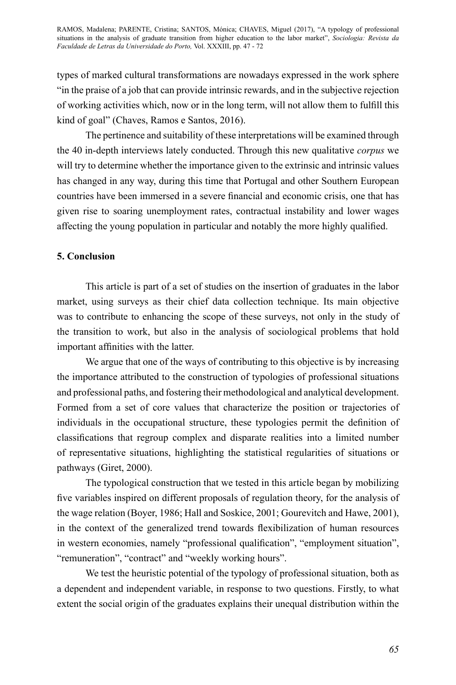types of marked cultural transformations are nowadays expressed in the work sphere "in the praise of a job that can provide intrinsic rewards, and in the subjective rejection of working activities which, now or in the long term, will not allow them to fulfill this kind of goal" (Chaves, Ramos e Santos, 2016).

The pertinence and suitability of these interpretations will be examined through the 40 in-depth interviews lately conducted. Through this new qualitative *corpus* we will try to determine whether the importance given to the extrinsic and intrinsic values has changed in any way, during this time that Portugal and other Southern European countries have been immersed in a severe financial and economic crisis, one that has given rise to soaring unemployment rates, contractual instability and lower wages affecting the young population in particular and notably the more highly qualified.

# **5. Conclusion**

This article is part of a set of studies on the insertion of graduates in the labor market, using surveys as their chief data collection technique. Its main objective was to contribute to enhancing the scope of these surveys, not only in the study of the transition to work, but also in the analysis of sociological problems that hold important affinities with the latter.

We argue that one of the ways of contributing to this objective is by increasing the importance attributed to the construction of typologies of professional situations and professional paths, and fostering their methodological and analytical development. Formed from a set of core values that characterize the position or trajectories of individuals in the occupational structure, these typologies permit the definition of classifications that regroup complex and disparate realities into a limited number of representative situations, highlighting the statistical regularities of situations or pathways (Giret, 2000).

The typological construction that we tested in this article began by mobilizing five variables inspired on different proposals of regulation theory, for the analysis of the wage relation (Boyer, 1986; Hall and Soskice, 2001; Gourevitch and Hawe, 2001), in the context of the generalized trend towards flexibilization of human resources in western economies, namely "professional qualification", "employment situation", "remuneration", "contract" and "weekly working hours".

We test the heuristic potential of the typology of professional situation, both as a dependent and independent variable, in response to two questions. Firstly, to what extent the social origin of the graduates explains their unequal distribution within the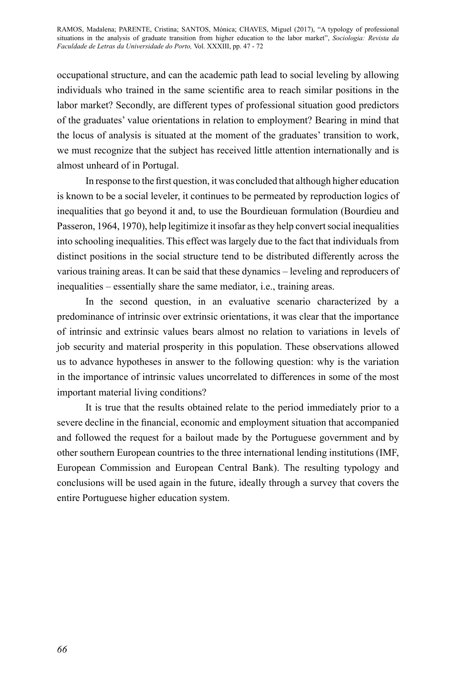occupational structure, and can the academic path lead to social leveling by allowing individuals who trained in the same scientific area to reach similar positions in the labor market? Secondly, are different types of professional situation good predictors of the graduates' value orientations in relation to employment? Bearing in mind that the locus of analysis is situated at the moment of the graduates' transition to work, we must recognize that the subject has received little attention internationally and is almost unheard of in Portugal.

In response to the first question, it was concluded that although higher education is known to be a social leveler, it continues to be permeated by reproduction logics of inequalities that go beyond it and, to use the Bourdieuan formulation (Bourdieu and Passeron, 1964, 1970), help legitimize it insofar as they help convert social inequalities into schooling inequalities. This effect was largely due to the fact that individuals from distinct positions in the social structure tend to be distributed differently across the various training areas. It can be said that these dynamics – leveling and reproducers of inequalities – essentially share the same mediator, i.e., training areas.

In the second question, in an evaluative scenario characterized by a predominance of intrinsic over extrinsic orientations, it was clear that the importance of intrinsic and extrinsic values bears almost no relation to variations in levels of job security and material prosperity in this population. These observations allowed us to advance hypotheses in answer to the following question: why is the variation in the importance of intrinsic values uncorrelated to differences in some of the most important material living conditions?

It is true that the results obtained relate to the period immediately prior to a severe decline in the financial, economic and employment situation that accompanied and followed the request for a bailout made by the Portuguese government and by other southern European countries to the three international lending institutions (IMF, European Commission and European Central Bank). The resulting typology and conclusions will be used again in the future, ideally through a survey that covers the entire Portuguese higher education system.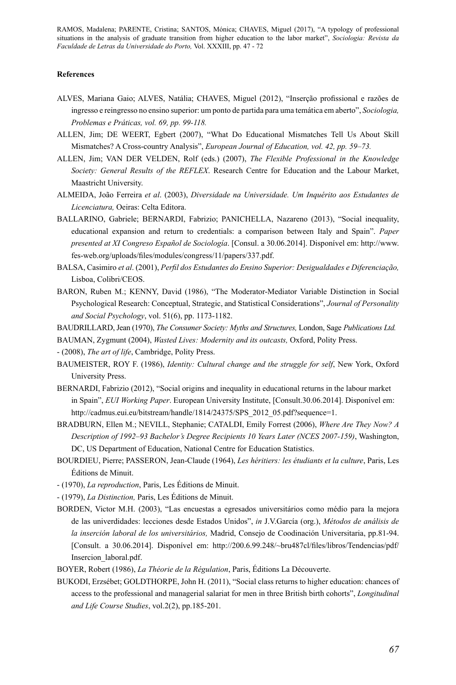### **References**

- ALVES, Mariana Gaio; ALVES, Natália; CHAVES, Miguel (2012), "Inserção profissional e razões de ingresso e reingresso no ensino superior: um ponto de partida para uma temática em aberto", *Sociologia, Problemas e Práticas, vol. 69, pp. 99-118.*
- ALLEN, Jim; DE WEERT, Egbert (2007), "What Do Educational Mismatches Tell Us About Skill Mismatches? A Cross-country Analysis", *European Journal of Education, vol. 42, pp. 59–73.*
- ALLEN, Jim; VAN DER VELDEN, Rolf (eds.) (2007), *The Flexible Professional in the Knowledge Society: General Results of the REFLEX*. Research Centre for Education and the Labour Market, Maastricht University.
- ALMEIDA, João Ferreira *et al*. (2003), *Diversidade na Universidade. Um Inquérito aos Estudantes de Licenciatura,* Oeiras: Celta Editora.
- BALLARINO, Gabriele; BERNARDI, Fabrizio; PANICHELLA, Nazareno (2013), "Social inequality, educational expansion and return to credentials: a comparison between Italy and Spain". *Paper presented at XI Congreso Español de Sociología*. [Consul. a 30.06.2014]. Disponível em: http://www. fes-web.org/uploads/files/modules/congress/11/papers/337.pdf.
- BALSA, Casimiro *et al*. (2001), *Perfil dos Estudantes do Ensino Superior: Desigualdades e Diferenciação,* Lisboa, Colibri/CEOS.
- BARON, Ruben M.; KENNY, David (1986), "The Moderator-Mediator Variable Distinction in Social Psychological Research: Conceptual, Strategic, and Statistical Considerations", *Journal of Personality and Social Psychology*, vol. 51(6), pp. 1173-1182.
- BAUDRILLARD, Jean (1970), *The Consumer Society: Myths and Structures,* London, Sage *Publications Ltd.*
- BAUMAN, Zygmunt (2004), *Wasted Lives: Modernity and its outcasts,* Oxford, Polity Press.
- (2008), *The art of life*, Cambridge, Polity Press.
- BAUMEISTER, ROY F. (1986), *Identity: Cultural change and the struggle for self*, New York, Oxford University Press.
- BERNARDI, Fabrizio (2012), "Social origins and inequality in educational returns in the labour market in Spain", *EUI Working Paper*. European University Institute, [Consult.30.06.2014]. Disponível em: http://cadmus.eui.eu/bitstream/handle/1814/24375/SPS\_2012\_05.pdf?sequence=1.
- BRADBURN, Ellen M.; NEVILL, Stephanie; CATALDI, Emily Forrest (2006), *Where Are They Now? A Description of 1992–93 Bachelor's Degree Recipients 10 Years Later (NCES 2007-159)*, Washington, DC, US Department of Education, National Centre for Education Statistics.
- BOURDIEU, Pierre; PASSERON, Jean-Claude (1964), *Les héritiers: les étudiants et la culture*, Paris, Les Éditions de Minuit.
- (1970), *La reproduction*, Paris, Les Éditions de Minuit.
- (1979), *La Distinction,* Paris, Les Éditions de Minuit.
- BORDEN, Victor M.H. (2003), "Las encuestas a egresados universitários como médio para la mejora de las univerdidades: lecciones desde Estados Unidos", *in* J.V.García (org.), *Métodos de análisis de la inserción laboral de los universitários,* Madrid, Consejo de Coodinación Universitaria, pp.81-94. [Consult. a 30.06.2014]. Disponível em: http://200.6.99.248/~bru487cl/files/libros/Tendencias/pdf/ Insercion\_laboral.pdf.
- BOYER, Robert (1986), *La Théorie de la Régulation*, Paris, Éditions La Découverte.
- BUKODI, Erzsébet; GOLDTHORPE, John H. (2011), "Social class returns to higher education: chances of access to the professional and managerial salariat for men in three British birth cohorts", *Longitudinal and Life Course Studies*, vol.2(2), pp.185-201.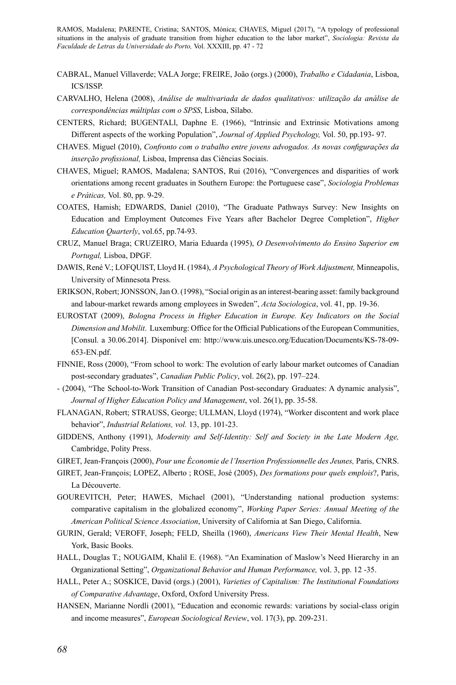- CABRAL, Manuel Villaverde; VALA Jorge; FREIRE, João (orgs.) (2000), *Trabalho e Cidadania*, Lisboa, ICS/ISSP.
- CARVALHO, Helena (2008), *Análise de multivariada de dados qualitativos: utilização da análise de correspondências múltiplas com o SPSS*, Lisboa, Sílabo.
- CENTERS, Richard; BUGENTALl, Daphne E. (1966), "Intrinsic and Extrinsic Motivations among Different aspects of the working Population", *Journal of Applied Psychology,* Vol. 50, pp.193- 97.
- CHAVES. Miguel (2010), *Confronto com o trabalho entre jovens advogados. As novas configurações da inserção profissional,* Lisboa, Imprensa das Ciências Sociais.
- CHAVES, Miguel; RAMOS, Madalena; SANTOS, Rui (2016), "Convergences and disparities of work orientations among recent graduates in Southern Europe: the Portuguese case", *Sociologia Problemas e Práticas,* Vol. 80, pp. 9-29.
- COATES, Hamish; EDWARDS, Daniel (2010), "The Graduate Pathways Survey: New Insights on Education and Employment Outcomes Five Years after Bachelor Degree Completion", *Higher Education Quarterly*, vol.65, pp.74-93.
- CRUZ, Manuel Braga; CRUZEIRO, Maria Eduarda (1995), *O Desenvolvimento do Ensino Superior em Portugal,* Lisboa, DPGF.
- DAWIS, René V.; LOFQUIST, Lloyd H. (1984), *A Psychological Theory of Work Adjustment,* Minneapolis, University of Minnesota Press.
- ERIKSON, Robert; JONSSON, Jan O. (1998), "Social origin as an interest-bearing asset: family background and labour-market rewards among employees in Sweden", *Acta Sociologica*, vol. 41, pp. 19-36.
- EUROSTAT (2009), *Bologna Process in Higher Education in Europe. Key Indicators on the Social Dimension and Mobilit*. Luxemburg: Office for the Official Publications of the European Communities, [Consul. a 30.06.2014]. Disponível em: http://www.uis.unesco.org/Education/Documents/KS-78-09- 653-EN.pdf.
- FINNIE, Ross (2000), "From school to work: The evolution of early labour market outcomes of Canadian post-secondary graduates", *Canadian Public Policy*, vol. 26(2), pp. 197–224.
- (2004), "The School-to-Work Transition of Canadian Post-secondary Graduates: A dynamic analysis", *Journal of Higher Education Policy and Management*, vol. 26(1), pp. 35-58.
- FLANAGAN, Robert; STRAUSS, George; ULLMAN, Lloyd (1974), "Worker discontent and work place behavior", *Industrial Relations, vol.* 13, pp. 101-23.
- GIDDENS, Anthony (1991), *Modernity and Self-Identity: Self and Society in the Late Modern Age,* Cambridge, Polity Press.
- GIRET, Jean-François (2000), *Pour une Économie de l'Insertion Professionnelle des Jeunes,* Paris, CNRS.
- GIRET, Jean-François; LOPEZ, Alberto ; ROSE, José (2005), *Des formations pour quels emplois*?, Paris, La Découverte.
- GOUREVITCH, Peter; HAWES, Michael (2001), "Understanding national production systems: comparative capitalism in the globalized economy", *Working Paper Series: Annual Meeting of the American Political Science Association*, University of California at San Diego, California.
- GURIN, Gerald; VEROFF, Joseph; FELD, Sheilla (1960), *Americans View Their Mental Health*, New York, Basic Books.
- HALL, Douglas T.; NOUGAIM, Khalil E. (1968). "An Examination of Maslow's Need Hierarchy in an Organizational Setting", *Organizational Behavior and Human Performance,* vol. 3, pp. 12 -35.
- HALL, Peter A.; SOSKICE, David (orgs.) (2001), *Varieties of Capitalism: The Institutional Foundations of Comparative Advantage*, Oxford, Oxford University Press.
- HANSEN, Marianne Nordli (2001), "Education and economic rewards: variations by social-class origin and income measures", *European Sociological Review*, vol. 17(3), pp. 209-231.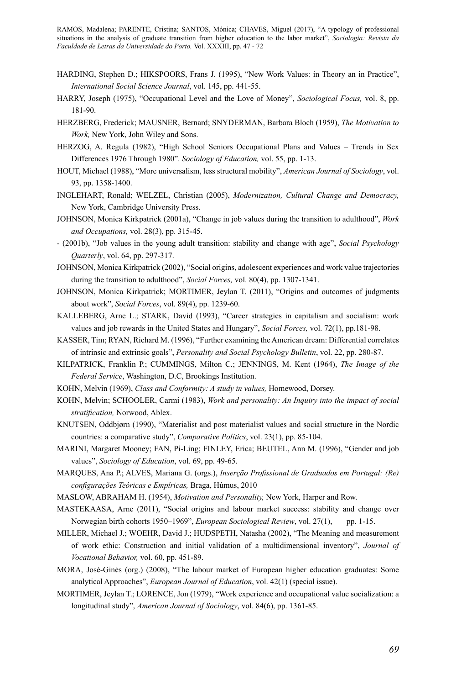- HARDING, Stephen D.; HIKSPOORS, Frans J. (1995), "New Work Values: in Theory an in Practice", *International Social Science Journal*, vol. 145, pp. 441-55.
- HARRY, Joseph (1975), "Occupational Level and the Love of Money", *Sociological Focus,* vol. 8, pp. 181-90.
- HERZBERG, Frederick; MAUSNER, Bernard; SNYDERMAN, Barbara Bloch (1959), *The Motivation to Work,* New York, John Wiley and Sons.
- HERZOG, A. Regula (1982), "High School Seniors Occupational Plans and Values Trends in Sex Differences 1976 Through 1980". *Sociology of Education,* vol. 55, pp. 1-13.
- HOUT, Michael (1988), "More universalism, less structural mobility", *American Journal of Sociology*, vol. 93, pp. 1358-1400.
- INGLEHART, Ronald; WELZEL, Christian (2005), *Modernization, Cultural Change and Democracy,* New York, Cambridge University Press.
- JOHNSON, Monica Kirkpatrick (2001a), "Change in job values during the transition to adulthood", *Work and Occupations,* vol. 28(3), pp. 315-45.
- (2001b), "Job values in the young adult transition: stability and change with age", *Social Psychology Quarterly*, vol. 64, pp. 297-317.
- JOHNSON, Monica Kirkpatrick (2002), "Social origins, adolescent experiences and work value trajectories during the transition to adulthood", *Social Forces,* vol. 80(4), pp. 1307-1341.
- JOHNSON, Monica Kirkpatrick; MORTIMER, Jeylan T. (2011), "Origins and outcomes of judgments about work", *Social Forces*, vol. 89(4), pp. 1239-60.
- KALLEBERG, Arne L.; STARK, David (1993), "Career strategies in capitalism and socialism: work values and job rewards in the United States and Hungary", *Social Forces,* vol. 72(1), pp.181-98.
- KASSER, Tim; RYAN, Richard M. (1996), "Further examining the American dream: Differential correlates of intrinsic and extrinsic goals", *Personality and Social Psychology Bulletin*, vol. 22, pp. 280-87.
- KILPATRICK, Franklin P.; CUMMINGS, Milton C.; JENNINGS, M. Kent (1964), *The Image of the Federal Service*, Washington, D.C, Brookings Institution.
- KOHN, Melvin (1969), *Class and Conformity: A study in values,* Homewood, Dorsey.
- KOHN, Melvin; SCHOOLER, Carmi (1983), *Work and personality: An Inquiry into the impact of social stratification,* Norwood, Ablex.
- KNUTSEN, Oddbjørn (1990), "Materialist and post materialist values and social structure in the Nordic countries: a comparative study", *Comparative Politics*, vol. 23(1), pp. 85-104.
- MARINI, Margaret Mooney; FAN, Pi-Ling; FINLEY, Erica; BEUTEL, Ann M. (1996), "Gender and job values", *Sociology of Education*, vol. 69, pp. 49-65.
- Marques, Ana P.; Alves, Mariana G. (orgs.), *Inserção Profissional de Graduados em Portugal: (Re) configurações Teóricas e Empíricas,* Braga, Húmus, 2010
- MASLOW, ABRAHAM H. (1954), *Motivation and Personality,* New York, Harper and Row.
- MASTEKAASA, Arne (2011), "Social origins and labour market success: stability and change over Norwegian birth cohorts 1950–1969", *European Sociological Review*, vol. 27(1), pp. 1-15.
- MILLER, Michael J.; WOEHR, David J.; HUDSPETH, Natasha (2002), "The Meaning and measurement of work ethic: Construction and initial validation of a multidimensional inventory", *Journal of Vocational Behavior,* vol. 60, pp. 451-89.
- MORA, José-Ginés (org.) (2008), "The labour market of European higher education graduates: Some analytical Approaches", *European Journal of Education*, vol. 42(1) (special issue).
- MORTIMER, Jeylan T.; LORENCE, Jon (1979), "Work experience and occupational value socialization: a longitudinal study", *American Journal of Sociology*, vol. 84(6), pp. 1361-85.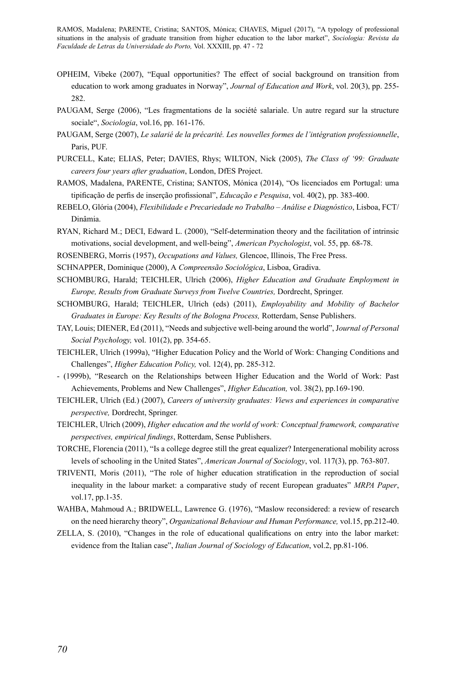- OPHEIM, Vibeke (2007), "Equal opportunities? The effect of social background on transition from education to work among graduates in Norway", *Journal of Education and Work*, vol. 20(3), pp. 255- 282.
- PAUGAM, Serge (2006), "Les fragmentations de la société salariale. Un autre regard sur la structure sociale", *Sociologia*, vol.16, pp. 161-176.
- PAUGAM, Serge (2007), *Le salarié de la précarité. Les nouvelles formes de l'intégration professionnelle*, Paris, PUF.
- PURCELL, Kate; ELIAS, Peter; DAVIES, Rhys; WILTON, Nick (2005), *The Class of '99: Graduate careers four years after graduation*, London, DfES Project.
- RAMOS, Madalena, PARENTE, Cristina; SANTOS, Mónica (2014), "Os licenciados em Portugal: uma tipificação de perfis de inserção profissional", *Educação e Pesquisa*, vol. 40(2), pp. 383-400.
- REBELO, Glória (2004), *Flexibilidade e Precariedade no Trabalho Análise e Diagnóstico*, Lisboa, FCT/ Dinâmia.
- RYAN, Richard M.; DECI, Edward L. (2000), "Self-determination theory and the facilitation of intrinsic motivations, social development, and well-being", *American Psychologist*, vol. 55, pp. 68-78.
- ROSENBERG, Morris (1957), *Occupations and Values,* Glencoe, Illinois, The Free Press.
- SCHNAPPER, Dominique (2000), A *Compreensão Sociológica*, Lisboa, Gradiva.
- SCHOMBURG, Harald; TEICHLER, Ulrich (2006), *Higher Education and Graduate Employment in Europe, Results from Graduate Surveys from Twelve Countries,* Dordrecht, Springer.
- SCHOMBURG, Harald; TEICHLER, Ulrich (eds) (2011), *Employability and Mobility of Bachelor Graduates in Europe: Key Results of the Bologna Process,* Rotterdam, Sense Publishers.
- TAY, Louis; DIENER, Ed (2011), "Needs and subjective well-being around the world", J*ournal of Personal Social Psychology,* vol. 101(2), pp. 354-65.
- TEICHLER, Ulrich (1999a), "Higher Education Policy and the World of Work: Changing Conditions and Challenges", *Higher Education Policy,* vol. 12(4), pp. 285-312.
- (1999b), "Research on the Relationships between Higher Education and the World of Work: Past Achievements, Problems and New Challenges", *Higher Education,* vol. 38(2), pp.169-190.
- TEICHLER, Ulrich (Ed.) (2007), *Careers of university graduates: Views and experiences in comparative perspective,* Dordrecht, Springer.
- TEICHLER, Ulrich (2009), *Higher education and the world of work: Conceptual framework, comparative perspectives, empirical findings*, Rotterdam, Sense Publishers.
- TORCHE, Florencia (2011), "Is a college degree still the great equalizer? Intergenerational mobility across levels of schooling in the United States", *American Journal of Sociology*, vol. 117(3), pp. 763-807.
- TRIVENTI, Moris (2011), "The role of higher education stratification in the reproduction of social inequality in the labour market: a comparative study of recent European graduates" *MRPA Paper*, vol.17, pp.1-35.
- WAHBA, Mahmoud A.; BRIDWELL, Lawrence G. (1976), "Maslow reconsidered: a review of research on the need hierarchy theory", *Organizational Behaviour and Human Performance,* vol.15, pp.212-40.
- ZELLA, S. (2010), "Changes in the role of educational qualifications on entry into the labor market: evidence from the Italian case", *Italian Journal of Sociology of Education*, vol.2, pp.81-106.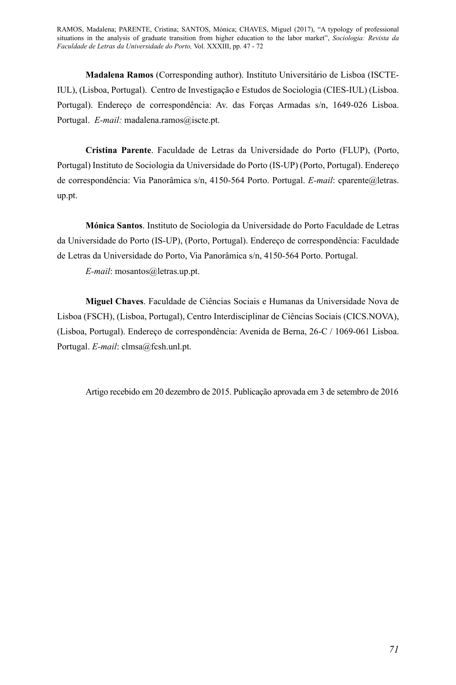**Madalena Ramos** (Corresponding author). Instituto Universitário de Lisboa (ISCTE-IUL), (Lisboa, Portugal). Centro de Investigação e Estudos de Sociologia (CIES-IUL) (Lisboa. Portugal). Endereço de correspondência: Av. das Forças Armadas s/n, 1649-026 Lisboa. Portugal. *E-mail:* madalena.ramos@iscte.pt.

**Cristina Parente**. Faculdade de Letras da Universidade do Porto (FLUP), (Porto, Portugal) Instituto de Sociologia da Universidade do Porto (IS-UP) (Porto, Portugal). Endereço de correspondência: Via Panorâmica s/n, 4150-564 Porto. Portugal. *E-mail*: cparente@letras. up.pt.

**Mónica Santos**. Instituto de Sociologia da Universidade do Porto Faculdade de Letras da Universidade do Porto (IS-UP), (Porto, Portugal). Endereço de correspondência: Faculdade de Letras da Universidade do Porto, Via Panorâmica s/n, 4150-564 Porto. Portugal.

*E-mail*: mosantos@letras.up.pt.

**Miguel Chaves**. Faculdade de Ciências Sociais e Humanas da Universidade Nova de Lisboa (FSCH), (Lisboa, Portugal), Centro Interdisciplinar de Ciências Sociais (CICS.NOVA), (Lisboa, Portugal). Endereço de correspondência: Avenida de Berna, 26-C / 1069-061 Lisboa. Portugal. *E-mail*: clmsa@fcsh.unl.pt.

Artigo recebido em 20 dezembro de 2015. Publicação aprovada em 3 de setembro de 2016